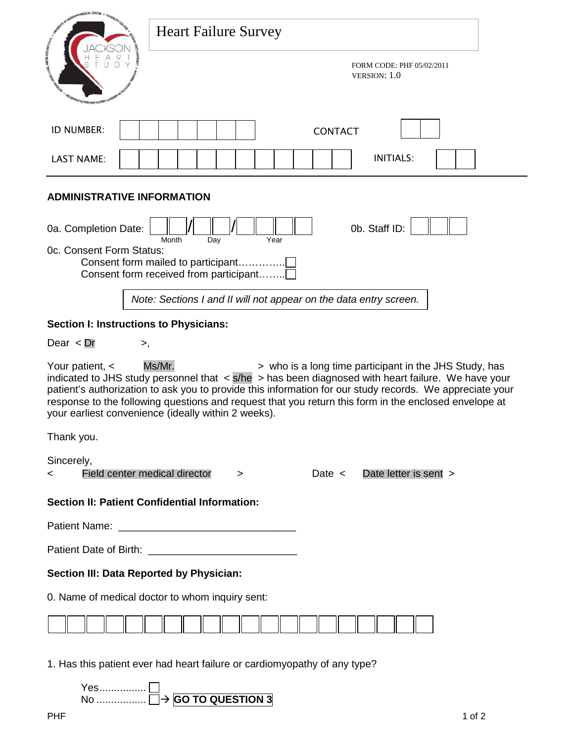| SOT OF RESISTING MEDICAL CENTER                                                                                                                                                                                                                                                                                                                                                                                                                                                     |                                                                                                      |  |  |  |
|-------------------------------------------------------------------------------------------------------------------------------------------------------------------------------------------------------------------------------------------------------------------------------------------------------------------------------------------------------------------------------------------------------------------------------------------------------------------------------------|------------------------------------------------------------------------------------------------------|--|--|--|
|                                                                                                                                                                                                                                                                                                                                                                                                                                                                                     | <b>Heart Failure Survey</b>                                                                          |  |  |  |
| <b><i>UNIVERSITY ON WALTER</i></b>                                                                                                                                                                                                                                                                                                                                                                                                                                                  | FORM CODE: PHF 05/02/2011<br>VERSION: 1.0                                                            |  |  |  |
| ID NUMBER:                                                                                                                                                                                                                                                                                                                                                                                                                                                                          | <b>CONTACT</b>                                                                                       |  |  |  |
| <b>LAST NAME:</b>                                                                                                                                                                                                                                                                                                                                                                                                                                                                   | <b>INITIALS:</b>                                                                                     |  |  |  |
| <b>ADMINISTRATIVE INFORMATION</b>                                                                                                                                                                                                                                                                                                                                                                                                                                                   |                                                                                                      |  |  |  |
| 0a. Completion Date:                                                                                                                                                                                                                                                                                                                                                                                                                                                                | 0b. Staff ID:                                                                                        |  |  |  |
| Oc. Consent Form Status:                                                                                                                                                                                                                                                                                                                                                                                                                                                            | Month<br>Day<br>Year<br>Consent form mailed to participant<br>Consent form received from participant |  |  |  |
|                                                                                                                                                                                                                                                                                                                                                                                                                                                                                     | Note: Sections I and II will not appear on the data entry screen.                                    |  |  |  |
| Section I: Instructions to Physicians:                                                                                                                                                                                                                                                                                                                                                                                                                                              |                                                                                                      |  |  |  |
| Dear $\langle$ Dr<br>>,                                                                                                                                                                                                                                                                                                                                                                                                                                                             |                                                                                                      |  |  |  |
| Ms/Mr.<br>> who is a long time participant in the JHS Study, has<br>Your patient, <<br>indicated to JHS study personnel that $\langle s/he \rangle$ has been diagnosed with heart failure. We have your<br>patient's authorization to ask you to provide this information for our study records. We appreciate your<br>response to the following questions and request that you return this form in the enclosed envelope at<br>your earliest convenience (ideally within 2 weeks). |                                                                                                      |  |  |  |
| Thank you.                                                                                                                                                                                                                                                                                                                                                                                                                                                                          |                                                                                                      |  |  |  |
| Sincerely,<br>Field center medical director<br><                                                                                                                                                                                                                                                                                                                                                                                                                                    | Date letter is sent ><br>Date $\lt$<br>>                                                             |  |  |  |
|                                                                                                                                                                                                                                                                                                                                                                                                                                                                                     | Section II: Patient Confidential Information:                                                        |  |  |  |
|                                                                                                                                                                                                                                                                                                                                                                                                                                                                                     |                                                                                                      |  |  |  |
|                                                                                                                                                                                                                                                                                                                                                                                                                                                                                     |                                                                                                      |  |  |  |
| Section III: Data Reported by Physician:                                                                                                                                                                                                                                                                                                                                                                                                                                            |                                                                                                      |  |  |  |
| 0. Name of medical doctor to whom inquiry sent:                                                                                                                                                                                                                                                                                                                                                                                                                                     |                                                                                                      |  |  |  |
|                                                                                                                                                                                                                                                                                                                                                                                                                                                                                     |                                                                                                      |  |  |  |
| 1. Has this patient ever had heart failure or cardiomyopathy of any type?                                                                                                                                                                                                                                                                                                                                                                                                           |                                                                                                      |  |  |  |

Yes................ No ................. **GO TO QUESTION 3**